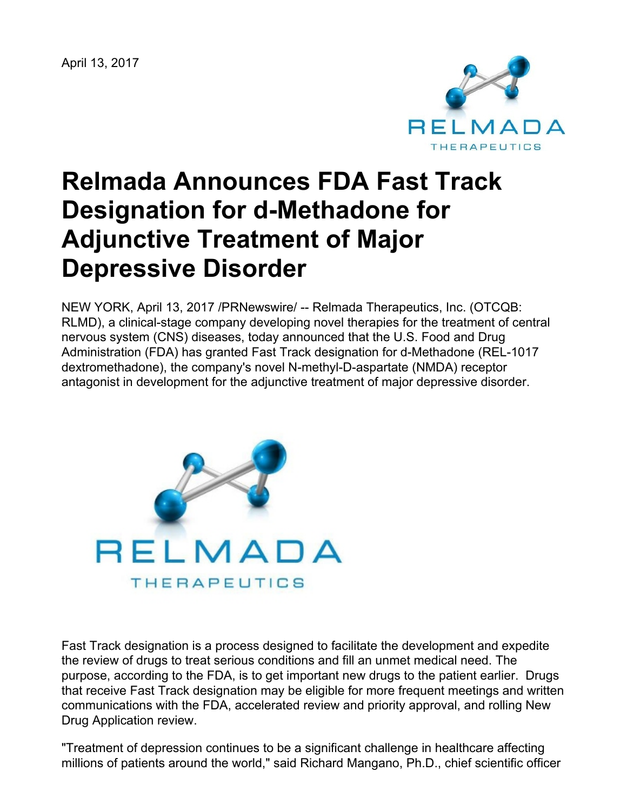April 13, 2017



# **Relmada Announces FDA Fast Track Designation for d-Methadone for Adjunctive Treatment of Major Depressive Disorder**

NEW YORK, April 13, 2017 /PRNewswire/ -- Relmada Therapeutics, Inc. (OTCQB: RLMD), a clinical-stage company developing novel therapies for the treatment of central nervous system (CNS) diseases, today announced that the U.S. Food and Drug Administration (FDA) has granted Fast Track designation for d-Methadone (REL-1017 dextromethadone), the company's novel N-methyl-D-aspartate (NMDA) receptor antagonist in development for the adjunctive treatment of major depressive disorder.



Fast Track designation is a process designed to facilitate the development and expedite the review of drugs to treat serious conditions and fill an unmet medical need. The purpose, according to the FDA, is to get important new drugs to the patient earlier. Drugs that receive Fast Track designation may be eligible for more frequent meetings and written communications with the FDA, accelerated review and priority approval, and rolling New Drug Application review.

"Treatment of depression continues to be a significant challenge in healthcare affecting millions of patients around the world," said Richard Mangano, Ph.D., chief scientific officer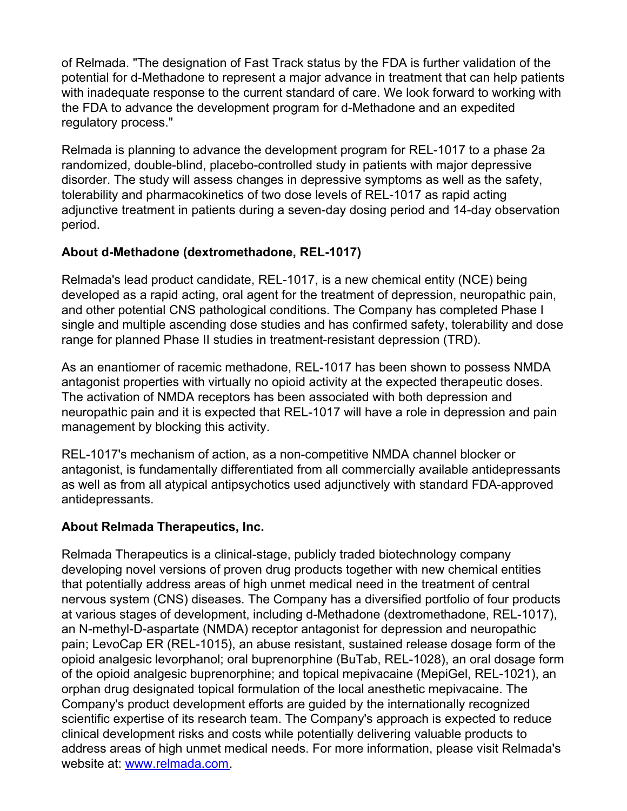of Relmada. "The designation of Fast Track status by the FDA is further validation of the potential for d-Methadone to represent a major advance in treatment that can help patients with inadequate response to the current standard of care. We look forward to working with the FDA to advance the development program for d-Methadone and an expedited regulatory process."

Relmada is planning to advance the development program for REL-1017 to a phase 2a randomized, double-blind, placebo-controlled study in patients with major depressive disorder. The study will assess changes in depressive symptoms as well as the safety, tolerability and pharmacokinetics of two dose levels of REL-1017 as rapid acting adjunctive treatment in patients during a seven-day dosing period and 14-day observation period.

# **About d-Methadone (dextromethadone, REL-1017)**

Relmada's lead product candidate, REL-1017, is a new chemical entity (NCE) being developed as a rapid acting, oral agent for the treatment of depression, neuropathic pain, and other potential CNS pathological conditions. The Company has completed Phase I single and multiple ascending dose studies and has confirmed safety, tolerability and dose range for planned Phase II studies in treatment-resistant depression (TRD).

As an enantiomer of racemic methadone, REL-1017 has been shown to possess NMDA antagonist properties with virtually no opioid activity at the expected therapeutic doses. The activation of NMDA receptors has been associated with both depression and neuropathic pain and it is expected that REL-1017 will have a role in depression and pain management by blocking this activity.

REL-1017's mechanism of action, as a non-competitive NMDA channel blocker or antagonist, is fundamentally differentiated from all commercially available antidepressants as well as from all atypical antipsychotics used adjunctively with standard FDA-approved antidepressants.

# **About Relmada Therapeutics, Inc.**

Relmada Therapeutics is a clinical-stage, publicly traded biotechnology company developing novel versions of proven drug products together with new chemical entities that potentially address areas of high unmet medical need in the treatment of central nervous system (CNS) diseases. The Company has a diversified portfolio of four products at various stages of development, including d-Methadone (dextromethadone, REL-1017), an N-methyl-D-aspartate (NMDA) receptor antagonist for depression and neuropathic pain; LevoCap ER (REL-1015), an abuse resistant, sustained release dosage form of the opioid analgesic levorphanol; oral buprenorphine (BuTab, REL-1028), an oral dosage form of the opioid analgesic buprenorphine; and topical mepivacaine (MepiGel, REL-1021), an orphan drug designated topical formulation of the local anesthetic mepivacaine. The Company's product development efforts are guided by the internationally recognized scientific expertise of its research team. The Company's approach is expected to reduce clinical development risks and costs while potentially delivering valuable products to address areas of high unmet medical needs. For more information, please visit Relmada's website at: [www.relmada.com](http://www.relmada.com/).